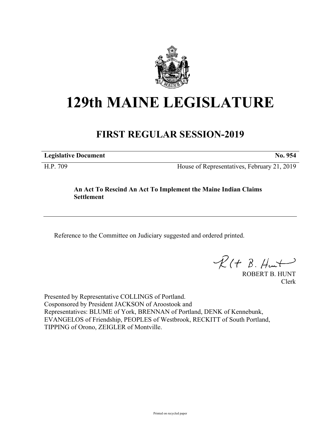

# **129th MAINE LEGISLATURE**

# **FIRST REGULAR SESSION-2019**

**Legislative Document No. 954**

H.P. 709 House of Representatives, February 21, 2019

## **An Act To Rescind An Act To Implement the Maine Indian Claims Settlement**

Reference to the Committee on Judiciary suggested and ordered printed.

 $R(H B. H<sup>u</sup>)$ 

ROBERT B. HUNT Clerk

Presented by Representative COLLINGS of Portland. Cosponsored by President JACKSON of Aroostook and Representatives: BLUME of York, BRENNAN of Portland, DENK of Kennebunk, EVANGELOS of Friendship, PEOPLES of Westbrook, RECKITT of South Portland, TIPPING of Orono, ZEIGLER of Montville.